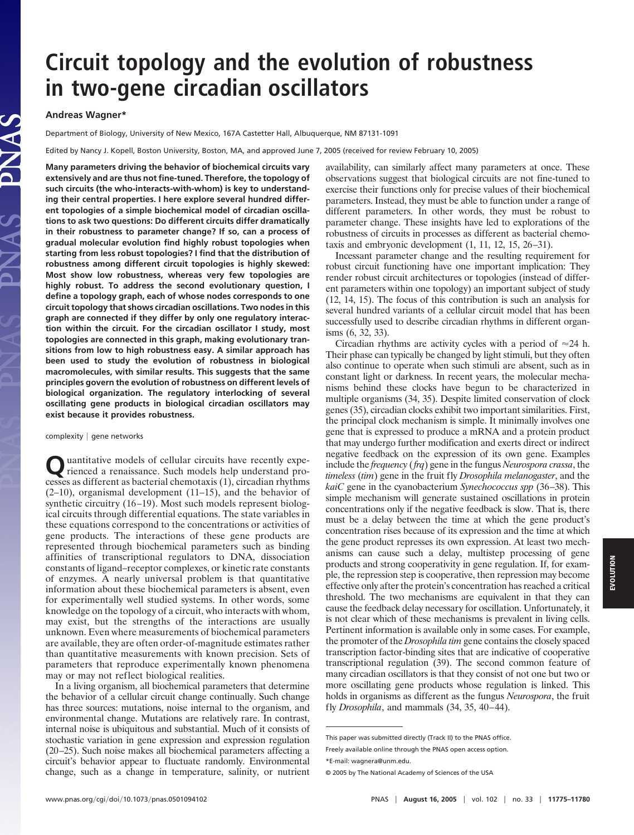# **Circuit topology and the evolution of robustness in two-gene circadian oscillators**

## **Andreas Wagner\***

Department of Biology, University of New Mexico, 167A Castetter Hall, Albuquerque, NM 87131-1091

Edited by Nancy J. Kopell, Boston University, Boston, MA, and approved June 7, 2005 (received for review February 10, 2005)

**Many parameters driving the behavior of biochemical circuits vary extensively and are thus not fine-tuned. Therefore, the topology of such circuits (the who-interacts-with-whom) is key to understanding their central properties. I here explore several hundred different topologies of a simple biochemical model of circadian oscillations to ask two questions: Do different circuits differ dramatically in their robustness to parameter change? If so, can a process of gradual molecular evolution find highly robust topologies when starting from less robust topologies? I find that the distribution of robustness among different circuit topologies is highly skewed: Most show low robustness, whereas very few topologies are highly robust. To address the second evolutionary question, I define a topology graph, each of whose nodes corresponds to one circuit topology that shows circadian oscillations. Two nodes in this graph are connected if they differ by only one regulatory interaction within the circuit. For the circadian oscillator I study, most topologies are connected in this graph, making evolutionary transitions from low to high robustness easy. A similar approach has been used to study the evolution of robustness in biological macromolecules, with similar results. This suggests that the same principles govern the evolution of robustness on different levels of biological organization. The regulatory interlocking of several oscillating gene products in biological circadian oscillators may exist because it provides robustness.**

#### complexity  $|$  gene networks

Quantitative models of cellular circuits have recently experienced a renaissance. Such models help understand processes as different as bacterial chemotaxis (1), circadian rhythms (2–10), organismal development (11–15), and the behavior of synthetic circuitry (16–19). Most such models represent biological circuits through differential equations. The state variables in these equations correspond to the concentrations or activities of gene products. The interactions of these gene products are represented through biochemical parameters such as binding affinities of transcriptional regulators to DNA, dissociation constants of ligand–receptor complexes, or kinetic rate constants of enzymes. A nearly universal problem is that quantitative information about these biochemical parameters is absent, even for experimentally well studied systems. In other words, some knowledge on the topology of a circuit, who interacts with whom, may exist, but the strengths of the interactions are usually unknown. Even where measurements of biochemical parameters are available, they are often order-of-magnitude estimates rather than quantitative measurements with known precision. Sets of parameters that reproduce experimentally known phenomena may or may not reflect biological realities.

In a living organism, all biochemical parameters that determine the behavior of a cellular circuit change continually. Such change has three sources: mutations, noise internal to the organism, and environmental change. Mutations are relatively rare. In contrast, internal noise is ubiquitous and substantial. Much of it consists of stochastic variation in gene expression and expression regulation (20–25). Such noise makes all biochemical parameters affecting a circuit's behavior appear to fluctuate randomly. Environmental change, such as a change in temperature, salinity, or nutrient availability, can similarly affect many parameters at once. These observations suggest that biological circuits are not fine-tuned to exercise their functions only for precise values of their biochemical parameters. Instead, they must be able to function under a range of different parameters. In other words, they must be robust to parameter change. These insights have led to explorations of the robustness of circuits in processes as different as bacterial chemotaxis and embryonic development (1, 11, 12, 15, 26–31).

Incessant parameter change and the resulting requirement for robust circuit functioning have one important implication: They render robust circuit architectures or topologies (instead of different parameters within one topology) an important subject of study (12, 14, 15). The focus of this contribution is such an analysis for several hundred variants of a cellular circuit model that has been successfully used to describe circadian rhythms in different organisms (6, 32, 33).

Circadian rhythms are activity cycles with a period of  $\approx 24$  h. Their phase can typically be changed by light stimuli, but they often also continue to operate when such stimuli are absent, such as in constant light or darkness. In recent years, the molecular mechanisms behind these clocks have begun to be characterized in multiple organisms (34, 35). Despite limited conservation of clock genes (35), circadian clocks exhibit two important similarities. First, the principal clock mechanism is simple. It minimally involves one gene that is expressed to produce a mRNA and a protein product that may undergo further modification and exerts direct or indirect negative feedback on the expression of its own gene. Examples include the *frequency* (*frq*) gene in the fungus *Neurospora crassa*, the *timeless* (*tim*) gene in the fruit fly *Drosophila melanogaster*, and the *kaiC* gene in the cyanobacterium *Synechococcus spp* (36–38). This simple mechanism will generate sustained oscillations in protein concentrations only if the negative feedback is slow. That is, there must be a delay between the time at which the gene product's concentration rises because of its expression and the time at which the gene product represses its own expression. At least two mechanisms can cause such a delay, multistep processing of gene products and strong cooperativity in gene regulation. If, for example, the repression step is cooperative, then repression may become effective only after the protein's concentration has reached a critical threshold. The two mechanisms are equivalent in that they can cause the feedback delay necessary for oscillation. Unfortunately, it is not clear which of these mechanisms is prevalent in living cells. Pertinent information is available only in some cases. For example, the promoter of the *Drosophila tim* gene contains the closely spaced transcription factor-binding sites that are indicative of cooperative transcriptional regulation (39). The second common feature of many circadian oscillators is that they consist of not one but two or more oscillating gene products whose regulation is linked. This holds in organisms as different as the fungus *Neurospora*, the fruit fly *Drosophila*, and mammals (34, 35, 40–44).

This paper was submitted directly (Track II) to the PNAS office.

Freely available online through the PNAS open access option.

<sup>\*</sup>E-mail: wagnera@unm.edu.

<sup>© 2005</sup> by The National Academy of Sciences of the USA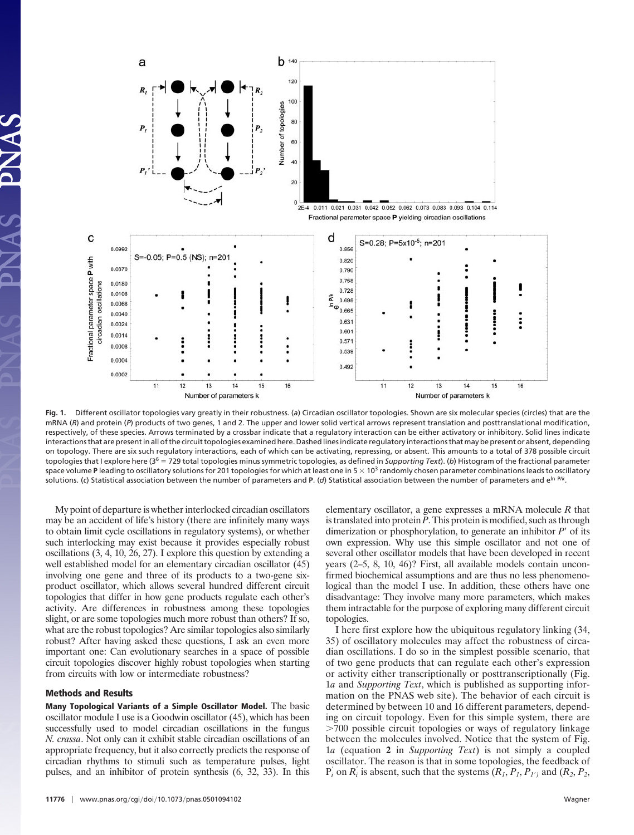

**Fig. 1.** Different oscillator topologies vary greatly in their robustness. (*a*) Circadian oscillator topologies. Shown are six molecular species (circles) that are the mRNA (*R*) and protein (*P*) products of two genes, 1 and 2. The upper and lower solid vertical arrows represent translation and posttranslational modification, respectively, of these species. Arrows terminated by a crossbar indicate that a regulatory interaction can be either activatory or inhibitory. Solid lines indicate interactions that are present in all of the circuit topologies examined here. Dashed lines indicate regulatory interactions that may be present or absent, depending on topology. There are six such regulatory interactions, each of which can be activating, repressing, or absent. This amounts to a total of 378 possible circuit topologies that I explore here (36 729 total topologies minus symmetric topologies, as defined in *Supporting Text*). (*b*) Histogram of the fractional parameter space volume P leading to oscillatory solutions for 201 topologies for which at least one in  $5 \times 10^3$  randomly chosen parameter combinations leads to oscillatory solutions. (*c*) Statistical association between the number of parameters and **P**. (*d*) Statistical association between the number of parameters and eln P/*<sup>k</sup>*.

My point of departure is whether interlocked circadian oscillators may be an accident of life's history (there are infinitely many ways to obtain limit cycle oscillations in regulatory systems), or whether such interlocking may exist because it provides especially robust oscillations (3, 4, 10, 26, 27). I explore this question by extending a well established model for an elementary circadian oscillator (45) involving one gene and three of its products to a two-gene sixproduct oscillator, which allows several hundred different circuit topologies that differ in how gene products regulate each other's activity. Are differences in robustness among these topologies slight, or are some topologies much more robust than others? If so, what are the robust topologies? Are similar topologies also similarly robust? After having asked these questions, I ask an even more important one: Can evolutionary searches in a space of possible circuit topologies discover highly robust topologies when starting from circuits with low or intermediate robustness?

## **Methods and Results**

**Many Topological Variants of a Simple Oscillator Model.** The basic oscillator module I use is a Goodwin oscillator (45), which has been successfully used to model circadian oscillations in the fungus *N. crassa*. Not only can it exhibit stable circadian oscillations of an appropriate frequency, but it also correctly predicts the response of circadian rhythms to stimuli such as temperature pulses, light pulses, and an inhibitor of protein synthesis (6, 32, 33). In this

elementary oscillator, a gene expresses a mRNA molecule *R* that is translated into protein *P*. This protein is modified, such as through dimerization or phosphorylation, to generate an inhibitor P' of its own expression. Why use this simple oscillator and not one of several other oscillator models that have been developed in recent years (2–5, 8, 10, 46)? First, all available models contain unconfirmed biochemical assumptions and are thus no less phenomenological than the model I use. In addition, these others have one disadvantage: They involve many more parameters, which makes them intractable for the purpose of exploring many different circuit topologies.

I here first explore how the ubiquitous regulatory linking (34, 35) of oscillatory molecules may affect the robustness of circadian oscillations. I do so in the simplest possible scenario, that of two gene products that can regulate each other's expression or activity either transcriptionally or posttranscriptionally (Fig. 1*a* and *Supporting Text*, which is published as supporting information on the PNAS web site). The behavior of each circuit is determined by between 10 and 16 different parameters, depending on circuit topology. Even for this simple system, there are 700 possible circuit topologies or ways of regulatory linkage between the molecules involved. Notice that the system of Fig. 1*a* (equation **2** in *Supporting Text*) is not simply a coupled oscillator. The reason is that in some topologies, the feedback of  $P'_i$  on  $R'_i$  is absent, such that the systems  $(R_I, P_I, P_{I'})$  and  $(R_2, P_2, P'_i)$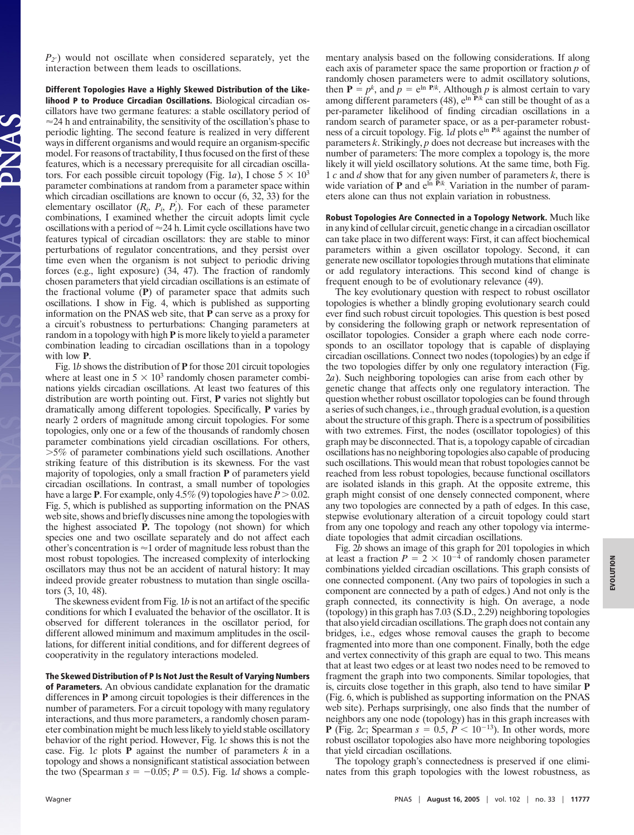*P2*-) would not oscillate when considered separately, yet the interaction between them leads to oscillations.

**Different Topologies Have a Highly Skewed Distribution of the Likelihood P to Produce Circadian Oscillations.** Biological circadian oscillators have two germane features: a stable oscillatory period of  $\approx$  24 h and entrainability, the sensitivity of the oscillation's phase to periodic lighting. The second feature is realized in very different ways in different organisms and would require an organism-specific model. For reasons of tractability, I thus focused on the first of these features, which is a necessary prerequisite for all circadian oscillators. For each possible circuit topology (Fig. 1*a*), I chose  $5 \times 10^3$ parameter combinations at random from a parameter space within which circadian oscillations are known to occur  $(6, 32, 33)$  for the elementary oscillator  $(R_i, P_i, P'_i)$ . For each of these parameter combinations, I examined whether the circuit adopts limit cycle oscillations with a period of  $\approx$  24 h. Limit cycle oscillations have two features typical of circadian oscillators: they are stable to minor perturbations of regulator concentrations, and they persist over time even when the organism is not subject to periodic driving forces (e.g., light exposure) (34, 47). The fraction of randomly chosen parameters that yield circadian oscillations is an estimate of the fractional volume (**P**) of parameter space that admits such oscillations. I show in Fig. 4, which is published as supporting information on the PNAS web site, that **P** can serve as a proxy for a circuit's robustness to perturbations: Changing parameters at random in a topology with high **P** is more likely to yield a parameter combination leading to circadian oscillations than in a topology with low **P**.

Fig. 1*b* shows the distribution of **P** for those 201 circuit topologies where at least one in  $5 \times 10^3$  randomly chosen parameter combinations yields circadian oscillations. At least two features of this distribution are worth pointing out. First, **P** varies not slightly but dramatically among different topologies. Specifically, **P** varies by nearly 2 orders of magnitude among circuit topologies. For some topologies, only one or a few of the thousands of randomly chosen parameter combinations yield circadian oscillations. For others, 5% of parameter combinations yield such oscillations. Another striking feature of this distribution is its skewness. For the vast majority of topologies, only a small fraction **P** of parameters yield circadian oscillations. In contrast, a small number of topologies have a large **P**. For example, only 4.5% (9) topologies have  $P > 0.02$ . Fig. 5, which is published as supporting information on the PNAS web site, shows and briefly discusses nine among the topologies with the highest associated **P.** The topology (not shown) for which species one and two oscillate separately and do not affect each other's concentration is  $\approx$  1 order of magnitude less robust than the most robust topologies. The increased complexity of interlocking oscillators may thus not be an accident of natural history: It may indeed provide greater robustness to mutation than single oscillators (3, 10, 48).

The skewness evident from Fig. 1*b* is not an artifact of the specific conditions for which I evaluated the behavior of the oscillator. It is observed for different tolerances in the oscillator period, for different allowed minimum and maximum amplitudes in the oscillations, for different initial conditions, and for different degrees of cooperativity in the regulatory interactions modeled.

**The Skewed Distribution of P Is Not Just the Result of Varying Numbers of Parameters.** An obvious candidate explanation for the dramatic differences in **P** among circuit topologies is their differences in the number of parameters. For a circuit topology with many regulatory interactions, and thus more parameters, a randomly chosen parameter combination might be much less likely to yield stable oscillatory behavior of the right period. However, Fig. 1*c* shows this is not the case. Fig. 1*c* plots **P** against the number of parameters *k* in a topology and shows a nonsignificant statistical association between the two (Spearman  $s = -0.05$ ;  $P = 0.5$ ). Fig. 1*d* shows a complementary analysis based on the following considerations. If along each axis of parameter space the same proportion or fraction *p* of randomly chosen parameters were to admit oscillatory solutions, then  $P = p^k$ , and  $p = e^{\ln P/k}$ . Although p is almost certain to vary among different parameters (48),  $e^{\ln P/k}$  can still be thought of as a per-parameter likelihood of finding circadian oscillations in a random search of parameter space, or as a per-parameter robustness of a circuit topology. Fig. 1*d* plots eln **<sup>P</sup>**/*<sup>k</sup>* against the number of parameters *k*. Strikingly, *p* does not decrease but increases with the number of parameters: The more complex a topology is, the more likely it will yield oscillatory solutions. At the same time, both Fig. 1 *c* and *d* show that for any given number of parameters *k*, there is wide variation of **P** and  $e^{\ln P/k}$ . Variation in the number of parameters alone can thus not explain variation in robustness.

**Robust Topologies Are Connected in a Topology Network.** Much like in any kind of cellular circuit, genetic change in a circadian oscillator can take place in two different ways: First, it can affect biochemical parameters within a given oscillator topology. Second, it can generate new oscillator topologies through mutations that eliminate or add regulatory interactions. This second kind of change is frequent enough to be of evolutionary relevance (49).

The key evolutionary question with respect to robust oscillator topologies is whether a blindly groping evolutionary search could ever find such robust circuit topologies. This question is best posed by considering the following graph or network representation of oscillator topologies. Consider a graph where each node corresponds to an oscillator topology that is capable of displaying circadian oscillations. Connect two nodes (topologies) by an edge if the two topologies differ by only one regulatory interaction (Fig. 2*a*). Such neighboring topologies can arise from each other by genetic change that affects only one regulatory interaction. The question whether robust oscillator topologies can be found through a series of such changes, i.e., through gradual evolution, is a question about the structure of this graph. There is a spectrum of possibilities with two extremes. First, the nodes (oscillator topologies) of this graph may be disconnected. That is, a topology capable of circadian oscillations has no neighboring topologies also capable of producing such oscillations. This would mean that robust topologies cannot be reached from less robust topologies, because functional oscillators are isolated islands in this graph. At the opposite extreme, this graph might consist of one densely connected component, where any two topologies are connected by a path of edges. In this case, stepwise evolutionary alteration of a circuit topology could start from any one topology and reach any other topology via intermediate topologies that admit circadian oscillations.

Fig. 2*b* shows an image of this graph for 201 topologies in which at least a fraction  $P = 2 \times 10^{-4}$  of randomly chosen parameter combinations yielded circadian oscillations. This graph consists of one connected component. (Any two pairs of topologies in such a component are connected by a path of edges.) And not only is the graph connected, its connectivity is high. On average, a node (topology) in this graph has 7.03 (S.D., 2.29) neighboring topologies that also yield circadian oscillations. The graph does not contain any bridges, i.e., edges whose removal causes the graph to become fragmented into more than one component. Finally, both the edge and vertex connectivity of this graph are equal to two. This means that at least two edges or at least two nodes need to be removed to fragment the graph into two components. Similar topologies, that is, circuits close together in this graph, also tend to have similar **P** (Fig. 6, which is published as supporting information on the PNAS web site). Perhaps surprisingly, one also finds that the number of neighbors any one node (topology) has in this graph increases with **P** (Fig. 2*c*; Spearman  $s = 0.5$ ,  $P < 10^{-13}$ ). In other words, more robust oscillator topologies also have more neighboring topologies that yield circadian oscillations.

The topology graph's connectedness is preserved if one eliminates from this graph topologies with the lowest robustness, as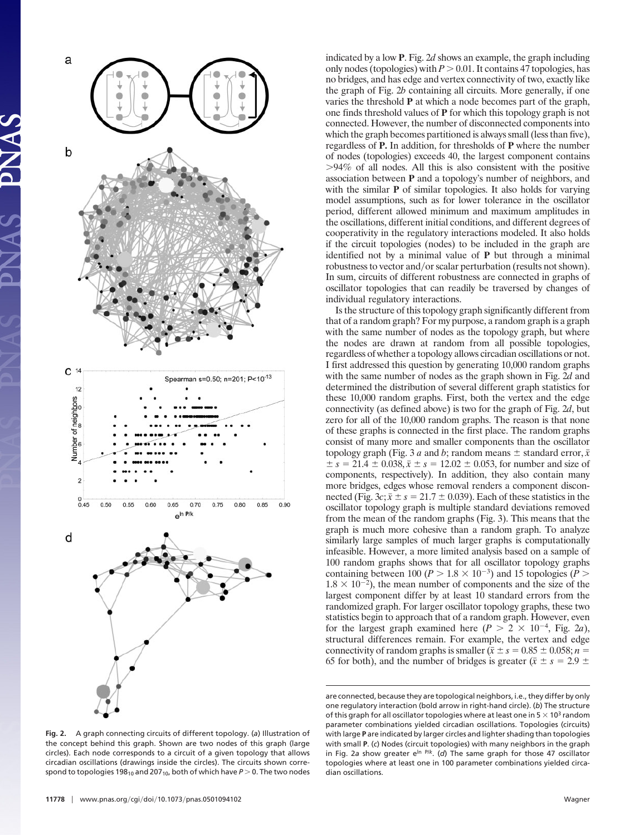

**Fig. 2.** A graph connecting circuits of different topology. (*a*) Illustration of the concept behind this graph. Shown are two nodes of this graph (large circles). Each node corresponds to a circuit of a given topology that allows circadian oscillations (drawings inside the circles). The circuits shown correspond to topologies 198<sub>10</sub> and 207<sub>10</sub>, both of which have  $P > 0$ . The two nodes

indicated by a low **P**. Fig. 2*d* shows an example, the graph including only nodes (topologies) with  $P > 0.01$ . It contains 47 topologies, has no bridges, and has edge and vertex connectivity of two, exactly like the graph of Fig. 2*b* containing all circuits. More generally, if one varies the threshold **P** at which a node becomes part of the graph, one finds threshold values of **P** for which this topology graph is not connected. However, the number of disconnected components into which the graph becomes partitioned is always small (less than five), regardless of **P.** In addition, for thresholds of **P** where the number of nodes (topologies) exceeds 40, the largest component contains 94% of all nodes. All this is also consistent with the positive association between **P** and a topology's number of neighbors, and with the similar **P** of similar topologies. It also holds for varying model assumptions, such as for lower tolerance in the oscillator period, different allowed minimum and maximum amplitudes in the oscillations, different initial conditions, and different degrees of cooperativity in the regulatory interactions modeled. It also holds if the circuit topologies (nodes) to be included in the graph are identified not by a minimal value of **P** but through a minimal robustness to vector and/or scalar perturbation (results not shown). In sum, circuits of different robustness are connected in graphs of oscillator topologies that can readily be traversed by changes of individual regulatory interactions.

Is the structure of this topology graph significantly different from that of a random graph? For my purpose, a random graph is a graph with the same number of nodes as the topology graph, but where the nodes are drawn at random from all possible topologies, regardless of whether a topology allows circadian oscillations or not. I first addressed this question by generating 10,000 random graphs with the same number of nodes as the graph shown in Fig. 2*d* and determined the distribution of several different graph statistics for these 10,000 random graphs. First, both the vertex and the edge connectivity (as defined above) is two for the graph of Fig. 2*d*, but zero for all of the 10,000 random graphs. The reason is that none of these graphs is connected in the first place. The random graphs consist of many more and smaller components than the oscillator topology graph (Fig. 3 *a* and *b*; random means  $\pm$  standard error,  $\bar{x}$  $\pm s = 21.4 \pm 0.038$ ,  $\bar{x} \pm s = 12.02 \pm 0.053$ , for number and size of components, respectively). In addition, they also contain many more bridges, edges whose removal renders a component disconnected (Fig.  $3c$ ;  $\bar{x} \pm s = 21.7 \pm 0.039$ ). Each of these statistics in the oscillator topology graph is multiple standard deviations removed from the mean of the random graphs (Fig. 3). This means that the graph is much more cohesive than a random graph. To analyze similarly large samples of much larger graphs is computationally infeasible. However, a more limited analysis based on a sample of 100 random graphs shows that for all oscillator topology graphs containing between 100 ( $P > 1.8 \times 10^{-3}$ ) and 15 topologies ( $\overline{P} >$  $1.8 \times 10^{-2}$ ), the mean number of components and the size of the largest component differ by at least 10 standard errors from the randomized graph. For larger oscillator topology graphs, these two statistics begin to approach that of a random graph. However, even for the largest graph examined here  $(P > 2 \times 10^{-4}$ , Fig. 2*a*), structural differences remain. For example, the vertex and edge connectivity of random graphs is smaller ( $\bar{x} \pm s = 0.85 \pm 0.058$ ; *n* = 65 for both), and the number of bridges is greater ( $\bar{x} \pm s = 2.9 \pm$ 

are connected, because they are topological neighbors, i.e., they differ by only one regulatory interaction (bold arrow in right-hand circle). (*b*) The structure of this graph for all oscillator topologies where at least one in  $5 \times 10^3$  random parameter combinations yielded circadian oscillations. Topologies (circuits) with large **P** are indicated by larger circles and lighter shading than topologies with small **P**. (*c*) Nodes (circuit topologies) with many neighbors in the graph in Fig. 2*a* show greater e<sup>ln P/k</sup>. (*d*) The same graph for those 47 oscillator topologies where at least one in 100 parameter combinations yielded circadian oscillations.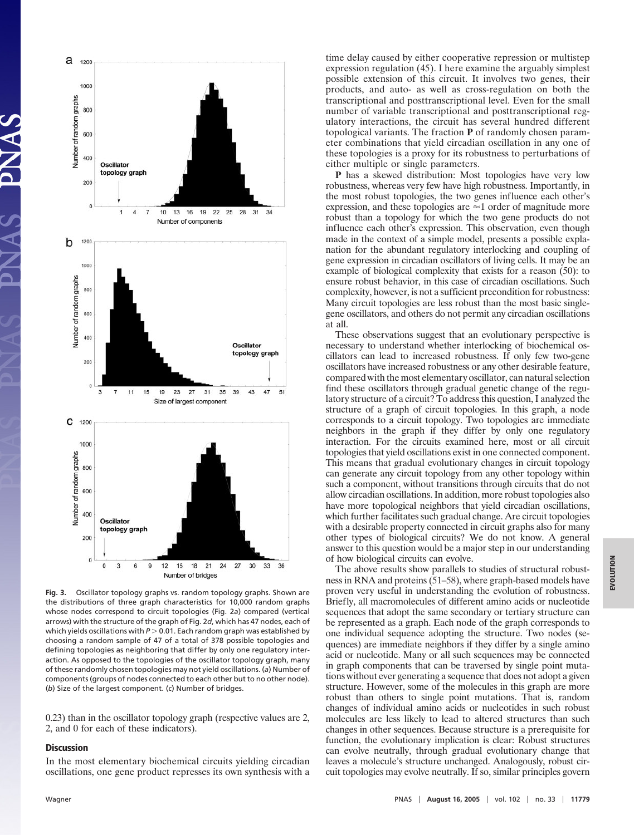

**Fig. 3.** Oscillator topology graphs vs. random topology graphs. Shown are the distributions of three graph characteristics for 10,000 random graphs whose nodes correspond to circuit topologies (Fig. 2*a*) compared (vertical arrows) with the structure of the graph of Fig. 2*d*, which has 47 nodes, each of which yields oscillations with  $P > 0.01$ . Each random graph was established by choosing a random sample of 47 of a total of 378 possible topologies and defining topologies as neighboring that differ by only one regulatory interaction. As opposed to the topologies of the oscillator topology graph, many of these randomly chosen topologies may not yield oscillations. (*a*) Number of components (groups of nodes connected to each other but to no other node). (*b*) Size of the largest component. (*c*) Number of bridges.

0.23) than in the oscillator topology graph (respective values are 2, 2, and 0 for each of these indicators).

### **Discussion**

In the most elementary biochemical circuits yielding circadian oscillations, one gene product represses its own synthesis with a time delay caused by either cooperative repression or multistep expression regulation (45). I here examine the arguably simplest possible extension of this circuit. It involves two genes, their products, and auto- as well as cross-regulation on both the transcriptional and posttranscriptional level. Even for the small number of variable transcriptional and posttranscriptional regulatory interactions, the circuit has several hundred different topological variants. The fraction **P** of randomly chosen parameter combinations that yield circadian oscillation in any one of these topologies is a proxy for its robustness to perturbations of either multiple or single parameters.

**P** has a skewed distribution: Most topologies have very low robustness, whereas very few have high robustness. Importantly, in the most robust topologies, the two genes influence each other's expression, and these topologies are  $\approx$  1 order of magnitude more robust than a topology for which the two gene products do not influence each other's expression. This observation, even though made in the context of a simple model, presents a possible explanation for the abundant regulatory interlocking and coupling of gene expression in circadian oscillators of living cells. It may be an example of biological complexity that exists for a reason (50): to ensure robust behavior, in this case of circadian oscillations. Such complexity, however, is not a sufficient precondition for robustness: Many circuit topologies are less robust than the most basic singlegene oscillators, and others do not permit any circadian oscillations at all.

These observations suggest that an evolutionary perspective is necessary to understand whether interlocking of biochemical oscillators can lead to increased robustness. If only few two-gene oscillators have increased robustness or any other desirable feature, compared with the most elementary oscillator, can natural selection find these oscillators through gradual genetic change of the regulatory structure of a circuit? To address this question, I analyzed the structure of a graph of circuit topologies. In this graph, a node corresponds to a circuit topology. Two topologies are immediate neighbors in the graph if they differ by only one regulatory interaction. For the circuits examined here, most or all circuit topologies that yield oscillations exist in one connected component. This means that gradual evolutionary changes in circuit topology can generate any circuit topology from any other topology within such a component, without transitions through circuits that do not allow circadian oscillations. In addition, more robust topologies also have more topological neighbors that yield circadian oscillations, which further facilitates such gradual change. Are circuit topologies with a desirable property connected in circuit graphs also for many other types of biological circuits? We do not know. A general answer to this question would be a major step in our understanding of how biological circuits can evolve.

The above results show parallels to studies of structural robustness in RNA and proteins (51–58), where graph-based models have proven very useful in understanding the evolution of robustness. Briefly, all macromolecules of different amino acids or nucleotide sequences that adopt the same secondary or tertiary structure can be represented as a graph. Each node of the graph corresponds to one individual sequence adopting the structure. Two nodes (sequences) are immediate neighbors if they differ by a single amino acid or nucleotide. Many or all such sequences may be connected in graph components that can be traversed by single point mutations without ever generating a sequence that does not adopt a given structure. However, some of the molecules in this graph are more robust than others to single point mutations. That is, random changes of individual amino acids or nucleotides in such robust molecules are less likely to lead to altered structures than such changes in other sequences. Because structure is a prerequisite for function, the evolutionary implication is clear: Robust structures can evolve neutrally, through gradual evolutionary change that leaves a molecule's structure unchanged. Analogously, robust circuit topologies may evolve neutrally. If so, similar principles govern